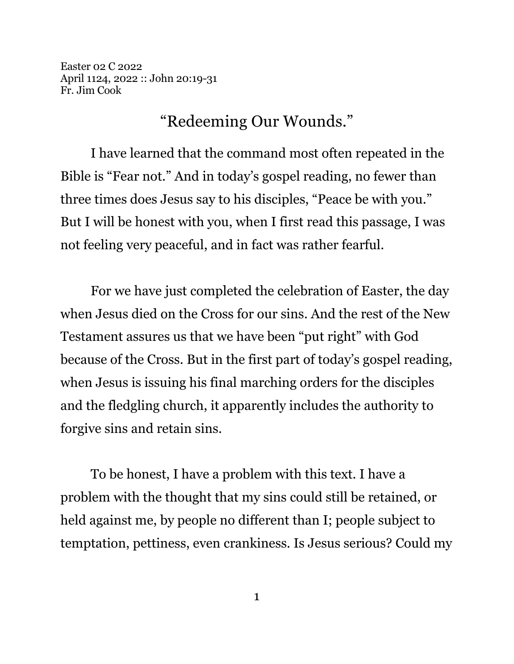Easter 02 C 2022 April 1124, 2022 :: John 20:19-31 Fr. Jim Cook

## "Redeeming Our Wounds."

I have learned that the command most often repeated in the Bible is "Fear not." And in today's gospel reading, no fewer than three times does Jesus say to his disciples, "Peace be with you." But I will be honest with you, when I first read this passage, I was not feeling very peaceful, and in fact was rather fearful.

For we have just completed the celebration of Easter, the day when Jesus died on the Cross for our sins. And the rest of the New Testament assures us that we have been "put right" with God because of the Cross. But in the first part of today's gospel reading, when Jesus is issuing his final marching orders for the disciples and the fledgling church, it apparently includes the authority to forgive sins and retain sins.

To be honest, I have a problem with this text. I have a problem with the thought that my sins could still be retained, or held against me, by people no different than I; people subject to temptation, pettiness, even crankiness. Is Jesus serious? Could my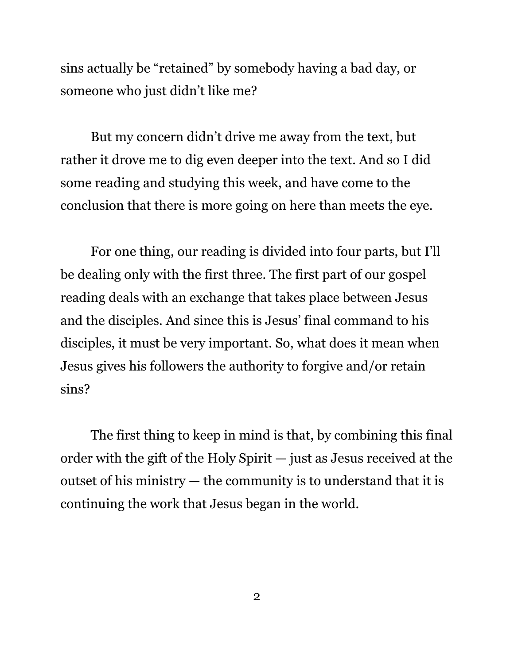sins actually be "retained" by somebody having a bad day, or someone who just didn't like me?

But my concern didn't drive me away from the text, but rather it drove me to dig even deeper into the text. And so I did some reading and studying this week, and have come to the conclusion that there is more going on here than meets the eye.

For one thing, our reading is divided into four parts, but I'll be dealing only with the first three. The first part of our gospel reading deals with an exchange that takes place between Jesus and the disciples. And since this is Jesus' final command to his disciples, it must be very important. So, what does it mean when Jesus gives his followers the authority to forgive and/or retain sins?

The first thing to keep in mind is that, by combining this final order with the gift of the Holy Spirit — just as Jesus received at the outset of his ministry — the community is to understand that it is continuing the work that Jesus began in the world.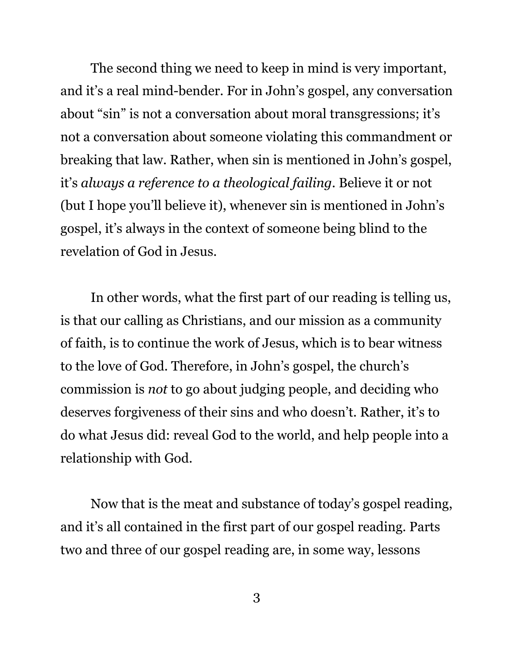The second thing we need to keep in mind is very important, and it's a real mind-bender. For in John's gospel, any conversation about "sin" is not a conversation about moral transgressions; it's not a conversation about someone violating this commandment or breaking that law. Rather, when sin is mentioned in John's gospel, it's *always a reference to a theological failing*. Believe it or not (but I hope you'll believe it), whenever sin is mentioned in John's gospel, it's always in the context of someone being blind to the revelation of God in Jesus.

In other words, what the first part of our reading is telling us, is that our calling as Christians, and our mission as a community of faith, is to continue the work of Jesus, which is to bear witness to the love of God. Therefore, in John's gospel, the church's commission is *not* to go about judging people, and deciding who deserves forgiveness of their sins and who doesn't. Rather, it's to do what Jesus did: reveal God to the world, and help people into a relationship with God.

Now that is the meat and substance of today's gospel reading, and it's all contained in the first part of our gospel reading. Parts two and three of our gospel reading are, in some way, lessons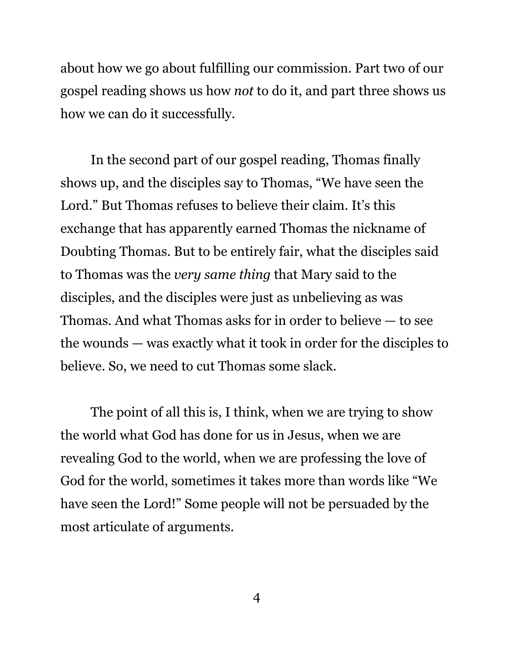about how we go about fulfilling our commission. Part two of our gospel reading shows us how *not* to do it, and part three shows us how we can do it successfully.

In the second part of our gospel reading, Thomas finally shows up, and the disciples say to Thomas, "We have seen the Lord." But Thomas refuses to believe their claim. It's this exchange that has apparently earned Thomas the nickname of Doubting Thomas. But to be entirely fair, what the disciples said to Thomas was the *very same thing* that Mary said to the disciples, and the disciples were just as unbelieving as was Thomas. And what Thomas asks for in order to believe — to see the wounds — was exactly what it took in order for the disciples to believe. So, we need to cut Thomas some slack.

The point of all this is, I think, when we are trying to show the world what God has done for us in Jesus, when we are revealing God to the world, when we are professing the love of God for the world, sometimes it takes more than words like "We have seen the Lord!" Some people will not be persuaded by the most articulate of arguments.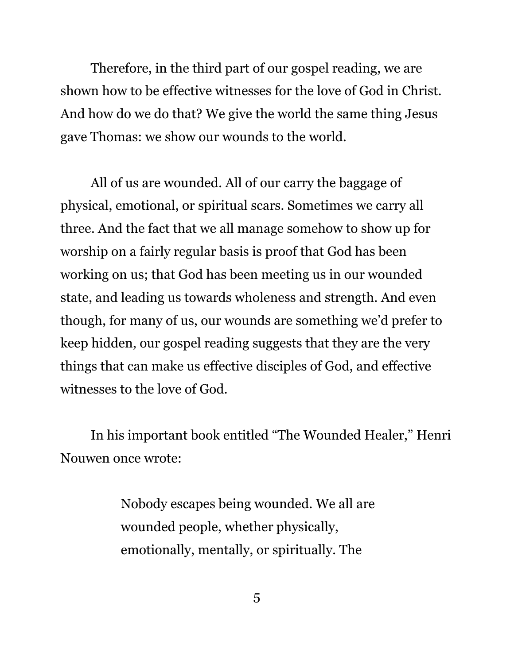Therefore, in the third part of our gospel reading, we are shown how to be effective witnesses for the love of God in Christ. And how do we do that? We give the world the same thing Jesus gave Thomas: we show our wounds to the world.

All of us are wounded. All of our carry the baggage of physical, emotional, or spiritual scars. Sometimes we carry all three. And the fact that we all manage somehow to show up for worship on a fairly regular basis is proof that God has been working on us; that God has been meeting us in our wounded state, and leading us towards wholeness and strength. And even though, for many of us, our wounds are something we'd prefer to keep hidden, our gospel reading suggests that they are the very things that can make us effective disciples of God, and effective witnesses to the love of God.

In his important book entitled "The Wounded Healer," Henri Nouwen once wrote:

> Nobody escapes being wounded. We all are wounded people, whether physically, emotionally, mentally, or spiritually. The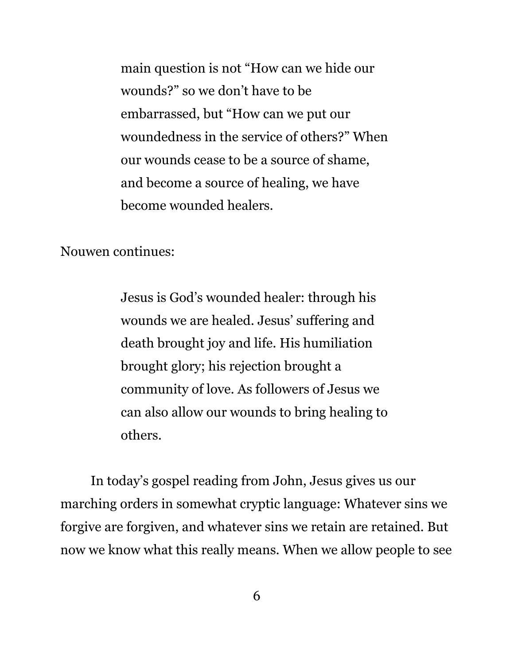main question is not "How can we hide our wounds?" so we don't have to be embarrassed, but "How can we put our woundedness in the service of others?" When our wounds cease to be a source of shame, and become a source of healing, we have become wounded healers.

Nouwen continues:

Jesus is God's wounded healer: through his wounds we are healed. Jesus' suffering and death brought joy and life. His humiliation brought glory; his rejection brought a community of love. As followers of Jesus we can also allow our wounds to bring healing to others.

In today's gospel reading from John, Jesus gives us our marching orders in somewhat cryptic language: Whatever sins we forgive are forgiven, and whatever sins we retain are retained. But now we know what this really means. When we allow people to see